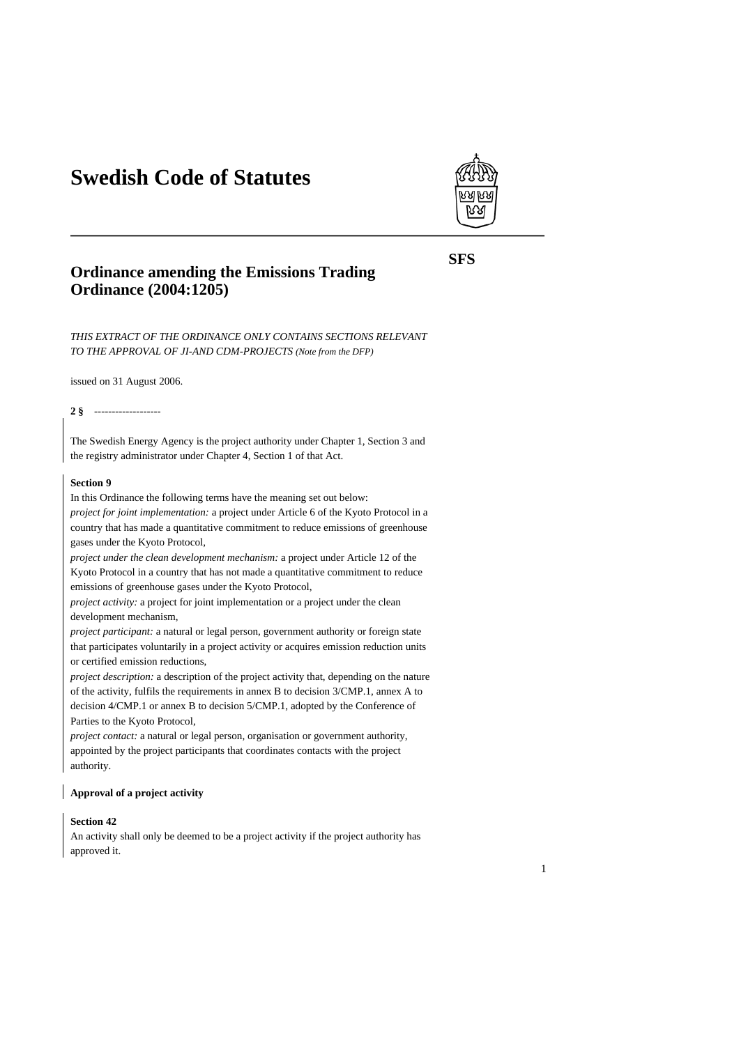# **Swedish Code of Statutes**



## **Ordinance amending the Emissions Trading Ordinance (2004:1205)**

*THIS EXTRACT OF THE ORDINANCE ONLY CONTAINS SECTIONS RELEVANT TO THE APPROVAL OF JI-AND CDM-PROJECTS (Note from the DFP)* 

issued on 31 August 2006.

#### **2 §** -------------------

The Swedish Energy Agency is the project authority under Chapter 1, Section 3 and the registry administrator under Chapter 4, Section 1 of that Act.

## **Section 9**

In this Ordinance the following terms have the meaning set out below:

*project for joint implementation:* a project under Article 6 of the Kyoto Protocol in a country that has made a quantitative commitment to reduce emissions of greenhouse gases under the Kyoto Protocol,

*project under the clean development mechanism:* a project under Article 12 of the Kyoto Protocol in a country that has not made a quantitative commitment to reduce emissions of greenhouse gases under the Kyoto Protocol,

*project activity:* a project for joint implementation or a project under the clean development mechanism,

*project participant:* a natural or legal person, government authority or foreign state that participates voluntarily in a project activity or acquires emission reduction units or certified emission reductions,

*project description:* a description of the project activity that, depending on the nature of the activity, fulfils the requirements in annex B to decision 3/CMP.1, annex A to decision 4/CMP.1 or annex B to decision 5/CMP.1, adopted by the Conference of Parties to the Kyoto Protocol,

*project contact:* a natural or legal person, organisation or government authority, appointed by the project participants that coordinates contacts with the project authority.

#### **Approval of a project activity**

## **Section 42**

An activity shall only be deemed to be a project activity if the project authority has approved it.

**SFS**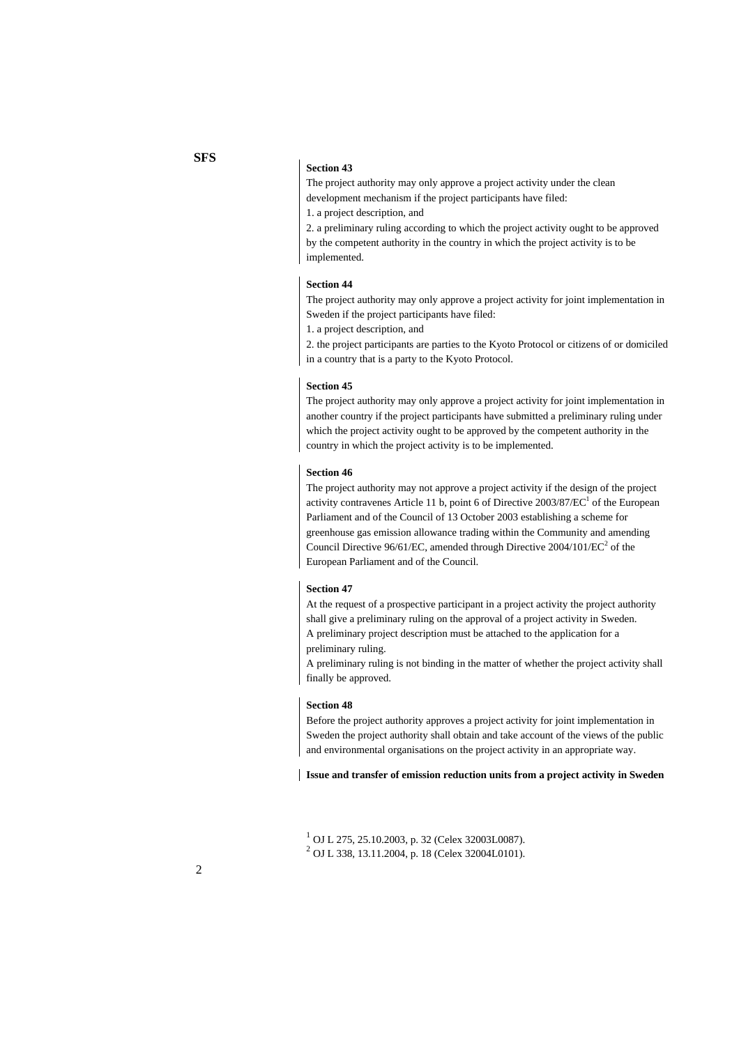#### **Section 43**

The project authority may only approve a project activity under the clean development mechanism if the project participants have filed: 1. a project description, and

2. a preliminary ruling according to which the project activity ought to be approved by the competent authority in the country in which the project activity is to be implemented.

#### **Section 44**

The project authority may only approve a project activity for joint implementation in Sweden if the project participants have filed:

1. a project description, and

2. the project participants are parties to the Kyoto Protocol or citizens of or domiciled in a country that is a party to the Kyoto Protocol.

#### **Section 45**

The project authority may only approve a project activity for joint implementation in another country if the project participants have submitted a preliminary ruling under which the project activity ought to be approved by the competent authority in the country in which the project activity is to be implemented.

#### **Section 46**

The project authority may not approve a project activity if the design of the project activity contravenes Article 11 b, point 6 of Directive  $2003/87/EC^1$  of the European Parliament and of the Council of 13 October 2003 establishing a scheme for greenhouse gas emission allowance trading within the Community and amending Council Directive  $96/61$ /EC, amended through Directive  $2004/101/EC^2$  of the European Parliament and of the Council.

#### **Section 47**

At the request of a prospective participant in a project activity the project authority shall give a preliminary ruling on the approval of a project activity in Sweden. A preliminary project description must be attached to the application for a preliminary ruling.

A preliminary ruling is not binding in the matter of whether the project activity shall finally be approved.

### **Section 48**

Before the project authority approves a project activity for joint implementation in Sweden the project authority shall obtain and take account of the views of the public and environmental organisations on the project activity in an appropriate way.

**Issue and transfer of emission reduction units from a project activity in Sweden** 

<sup>&</sup>lt;sup>1</sup> OJ L 275, 25.10.2003, p. 32 (Celex 32003L0087).<br><sup>2</sup> OJ L 228, 12.11.2004, p. 18 (Celex 22004L0101). OJ L 338, 13.11.2004, p. 18 (Celex 32004L0101).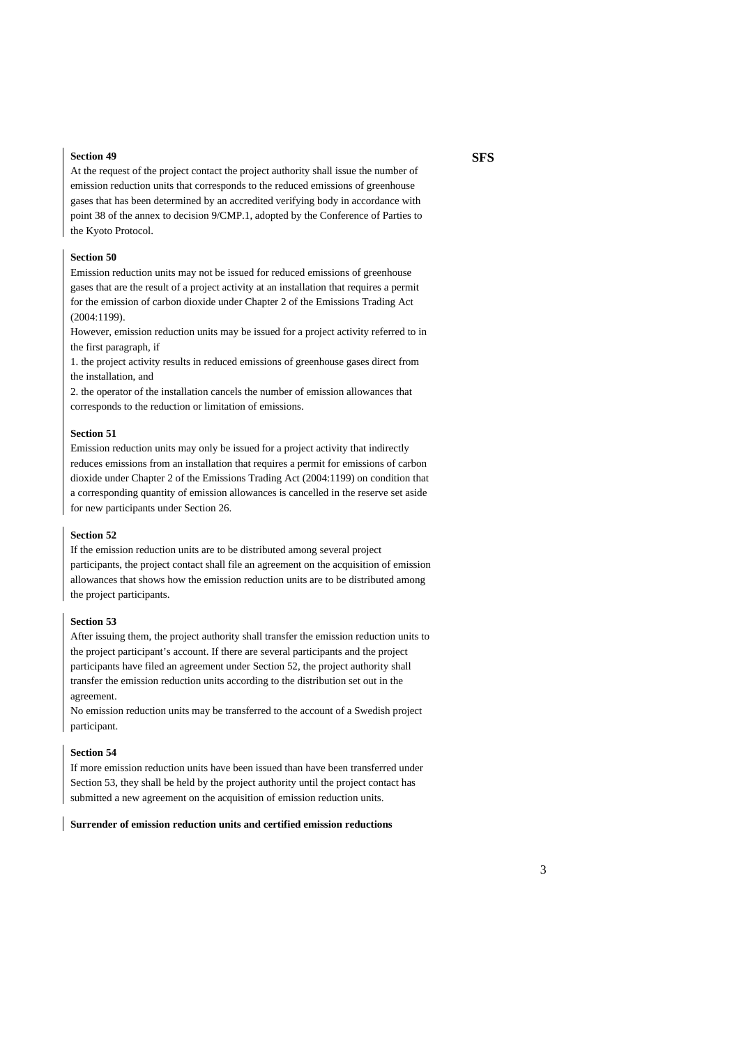#### **Section 49**

At the request of the project contact the project authority shall issue the number of emission reduction units that corresponds to the reduced emissions of greenhouse gases that has been determined by an accredited verifying body in accordance with point 38 of the annex to decision 9/CMP.1, adopted by the Conference of Parties to the Kyoto Protocol.

#### **Section 50**

Emission reduction units may not be issued for reduced emissions of greenhouse gases that are the result of a project activity at an installation that requires a permit for the emission of carbon dioxide under Chapter 2 of the Emissions Trading Act (2004:1199).

However, emission reduction units may be issued for a project activity referred to in the first paragraph, if

1. the project activity results in reduced emissions of greenhouse gases direct from the installation, and

2. the operator of the installation cancels the number of emission allowances that corresponds to the reduction or limitation of emissions.

#### **Section 51**

Emission reduction units may only be issued for a project activity that indirectly reduces emissions from an installation that requires a permit for emissions of carbon dioxide under Chapter 2 of the Emissions Trading Act (2004:1199) on condition that a corresponding quantity of emission allowances is cancelled in the reserve set aside for new participants under Section 26.

#### **Section 52**

If the emission reduction units are to be distributed among several project participants, the project contact shall file an agreement on the acquisition of emission allowances that shows how the emission reduction units are to be distributed among the project participants.

#### **Section 53**

After issuing them, the project authority shall transfer the emission reduction units to the project participant's account. If there are several participants and the project participants have filed an agreement under Section 52, the project authority shall transfer the emission reduction units according to the distribution set out in the agreement.

No emission reduction units may be transferred to the account of a Swedish project participant.

#### **Section 54**

If more emission reduction units have been issued than have been transferred under Section 53, they shall be held by the project authority until the project contact has submitted a new agreement on the acquisition of emission reduction units.

#### **Surrender of emission reduction units and certified emission reductions**

## **SFS**